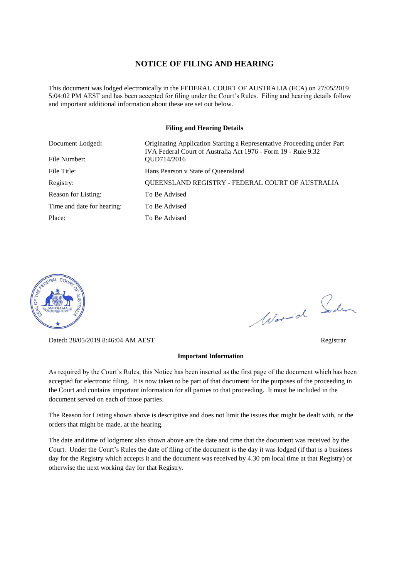#### **NOTICE OF FILING AND HEARING**

This document was lodged electronically in the FEDERAL COURT OF AUSTRALIA (FCA) on 27/05/2019 5:04:02 PM AEST and has been accepted for filing under the Court's Rules. Filing and hearing details follow and important additional information about these are set out below.

#### **Filing and Hearing Details**

| Document Lodged:           | Originating Application Starting a Representative Proceeding under Part<br>IVA Federal Court of Australia Act 1976 - Form 19 - Rule 9.32 |
|----------------------------|------------------------------------------------------------------------------------------------------------------------------------------|
| File Number:               | OUD714/2016                                                                                                                              |
| File Title:                | Hans Pearson v State of Queensland                                                                                                       |
| Registry:                  | QUEENSLAND REGISTRY - FEDERAL COURT OF AUSTRALIA                                                                                         |
| Reason for Listing:        | To Be Advised                                                                                                                            |
| Time and date for hearing: | To Be Advised                                                                                                                            |
| Place:                     | To Be Advised                                                                                                                            |



Dated**:** 28/05/2019 8:46:04 AM AEST Registrar

#### **Important Information**

As required by the Court's Rules, this Notice has been inserted as the first page of the document which has been accepted for electronic filing. It is now taken to be part of that document for the purposes of the proceeding in the Court and contains important information for all parties to that proceeding. It must be included in the document served on each of those parties.

The Reason for Listing shown above is descriptive and does not limit the issues that might be dealt with, or the orders that might be made, at the hearing.

The date and time of lodgment also shown above are the date and time that the document was received by the Court. Under the Court's Rules the date of filing of the document is the day it was lodged (if that is a business day for the Registry which accepts it and the document was received by 4.30 pm local time at that Registry) or otherwise the next working day for that Registry.

Word Soden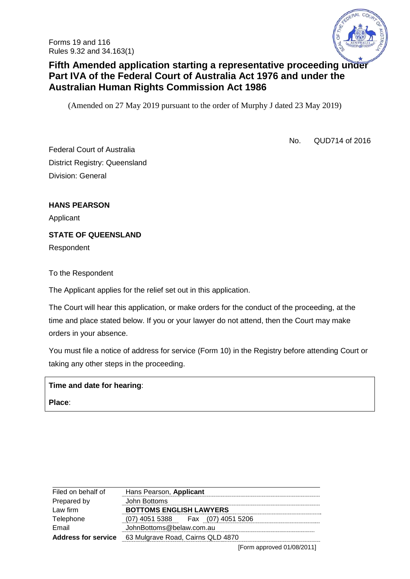

# **Fifth Amended application starting a representative proceeding under Part IVA of the Federal Court of Australia Act 1976 and under the Australian Human Rights Commission Act 1986**

(Amended on 27 May 2019 pursuant to the order of Murphy J dated 23 May 2019)

No. QUD714 of 2016

Federal Court of Australia District Registry: Queensland Division: General

**HANS PEARSON**

Applicant

**STATE OF QUEENSLAND** 

Respondent

### To the Respondent

The Applicant applies for the relief set out in this application.

The Court will hear this application, or make orders for the conduct of the proceeding, at the time and place stated below. If you or your lawyer do not attend, then the Court may make orders in your absence.

You must file a notice of address for service (Form 10) in the Registry before attending Court or taking any other steps in the proceeding.

### **Time and date for hearing**:

**Place**:

| Hans Pearson, Applicant           |
|-----------------------------------|
| John Bottoms                      |
| <b>BOTTOMS ENGLISH LAWYERS</b>    |
| (07) 4051 5388 Fax (07) 4051 5206 |
| JohnBottoms@belaw.com.au          |
| 63 Mulgrave Road, Cairns QLD 4870 |
|                                   |

[Form approved 01/08/2011]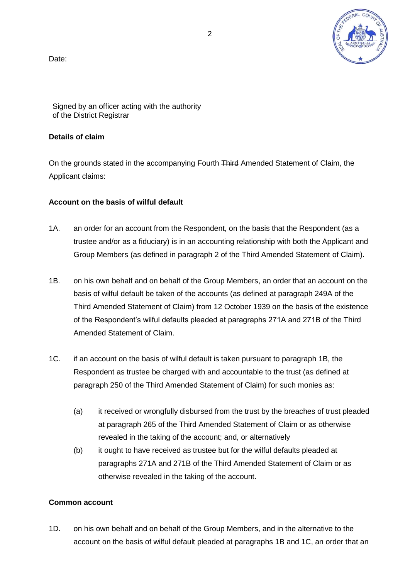Date:



Signed by an officer acting with the authority of the District Registrar

### **Details of claim**

On the grounds stated in the accompanying Fourth Third Amended Statement of Claim, the Applicant claims:

## **Account on the basis of wilful default**

- 1A. an order for an account from the Respondent, on the basis that the Respondent (as a trustee and/or as a fiduciary) is in an accounting relationship with both the Applicant and Group Members (as defined in paragraph 2 of the Third Amended Statement of Claim).
- 1B. on his own behalf and on behalf of the Group Members, an order that an account on the basis of wilful default be taken of the accounts (as defined at paragraph 249A of the Third Amended Statement of Claim) from 12 October 1939 on the basis of the existence of the Respondent's wilful defaults pleaded at paragraphs 271A and 271B of the Third Amended Statement of Claim.
- 1C. if an account on the basis of wilful default is taken pursuant to paragraph 1B, the Respondent as trustee be charged with and accountable to the trust (as defined at paragraph 250 of the Third Amended Statement of Claim) for such monies as:
	- (a) it received or wrongfully disbursed from the trust by the breaches of trust pleaded at paragraph 265 of the Third Amended Statement of Claim or as otherwise revealed in the taking of the account; and, or alternatively
	- (b) it ought to have received as trustee but for the wilful defaults pleaded at paragraphs 271A and 271B of the Third Amended Statement of Claim or as otherwise revealed in the taking of the account.

# **Common account**

1D. on his own behalf and on behalf of the Group Members, and in the alternative to the account on the basis of wilful default pleaded at paragraphs 1B and 1C, an order that an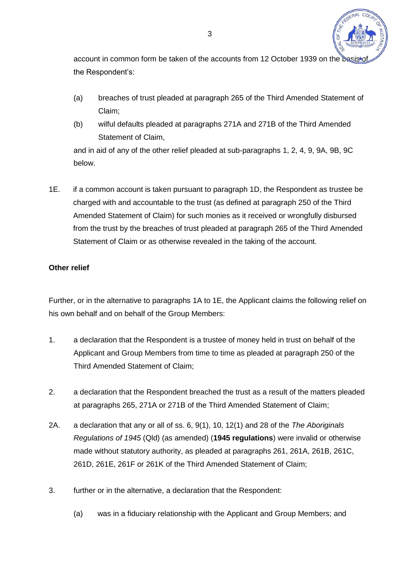

account in common form be taken of the accounts from 12 October 1939 on the basis the Respondent's:

- (a) breaches of trust pleaded at paragraph 265 of the Third Amended Statement of Claim;
- (b) wilful defaults pleaded at paragraphs 271A and 271B of the Third Amended Statement of Claim,

and in aid of any of the other relief pleaded at sub-paragraphs 1, 2, 4, 9, 9A, 9B, 9C below.

1E. if a common account is taken pursuant to paragraph 1D, the Respondent as trustee be charged with and accountable to the trust (as defined at paragraph 250 of the Third Amended Statement of Claim) for such monies as it received or wrongfully disbursed from the trust by the breaches of trust pleaded at paragraph 265 of the Third Amended Statement of Claim or as otherwise revealed in the taking of the account.

# **Other relief**

Further, or in the alternative to paragraphs 1A to 1E, the Applicant claims the following relief on his own behalf and on behalf of the Group Members:

- 1. a declaration that the Respondent is a trustee of money held in trust on behalf of the Applicant and Group Members from time to time as pleaded at paragraph 250 of the Third Amended Statement of Claim;
- 2. a declaration that the Respondent breached the trust as a result of the matters pleaded at paragraphs 265, 271A or 271B of the Third Amended Statement of Claim;
- 2A. a declaration that any or all of ss. 6, 9(1), 10, 12(1) and 28 of the *The Aboriginals Regulations of 1945* (Qld) (as amended) (**1945 regulations**) were invalid or otherwise made without statutory authority, as pleaded at paragraphs 261, 261A, 261B, 261C, 261D, 261E, 261F or 261K of the Third Amended Statement of Claim;
- 3. further or in the alternative, a declaration that the Respondent:
	- (a) was in a fiduciary relationship with the Applicant and Group Members; and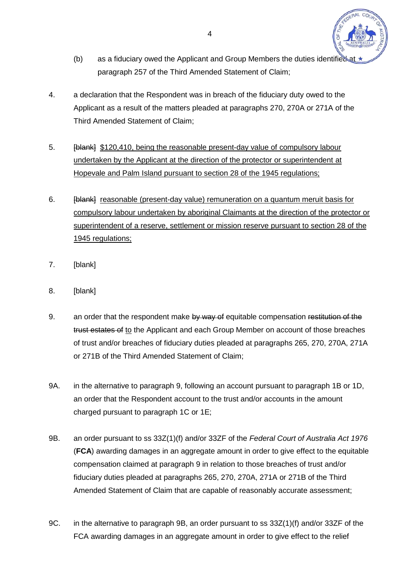

- (b) as a fiduciary owed the Applicant and Group Members the duties identified at paragraph 257 of the Third Amended Statement of Claim;
- 4. a declaration that the Respondent was in breach of the fiduciary duty owed to the Applicant as a result of the matters pleaded at paragraphs 270, 270A or 271A of the Third Amended Statement of Claim;
- 5. **[blank]** \$120,410, being the reasonable present-day value of compulsory labour undertaken by the Applicant at the direction of the protector or superintendent at Hopevale and Palm Island pursuant to section 28 of the 1945 regulations;
- 6. [blank] reasonable (present-day value) remuneration on a quantum meruit basis for compulsory labour undertaken by aboriginal Claimants at the direction of the protector or superintendent of a reserve, settlement or mission reserve pursuant to section 28 of the 1945 regulations;
- 7. [blank]
- 8. [blank]
- 9. an order that the respondent make by way of equitable compensation restitution of the trust estates of to the Applicant and each Group Member on account of those breaches of trust and/or breaches of fiduciary duties pleaded at paragraphs 265, 270, 270A, 271A or 271B of the Third Amended Statement of Claim;
- 9A. in the alternative to paragraph 9, following an account pursuant to paragraph 1B or 1D, an order that the Respondent account to the trust and/or accounts in the amount charged pursuant to paragraph 1C or 1E;
- 9B. an order pursuant to ss 33Z(1)(f) and/or 33ZF of the *Federal Court of Australia Act 1976*  (**FCA**) awarding damages in an aggregate amount in order to give effect to the equitable compensation claimed at paragraph 9 in relation to those breaches of trust and/or fiduciary duties pleaded at paragraphs 265, 270, 270A, 271A or 271B of the Third Amended Statement of Claim that are capable of reasonably accurate assessment;
- 9C. in the alternative to paragraph 9B, an order pursuant to ss 33Z(1)(f) and/or 33ZF of the FCA awarding damages in an aggregate amount in order to give effect to the relief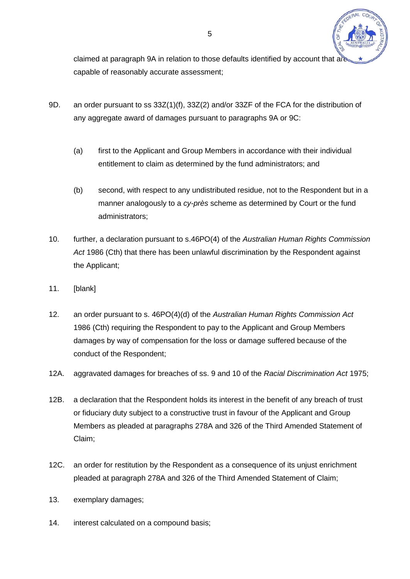

claimed at paragraph 9A in relation to those defaults identified by account that are capable of reasonably accurate assessment;

- 9D. an order pursuant to ss 33Z(1)(f), 33Z(2) and/or 33ZF of the FCA for the distribution of any aggregate award of damages pursuant to paragraphs 9A or 9C:
	- (a) first to the Applicant and Group Members in accordance with their individual entitlement to claim as determined by the fund administrators; and
	- (b) second, with respect to any undistributed residue, not to the Respondent but in a manner analogously to a *cy-près* scheme as determined by Court or the fund administrators;
- 10. further, a declaration pursuant to s.46PO(4) of the *Australian Human Rights Commission Act* 1986 (Cth) that there has been unlawful discrimination by the Respondent against the Applicant;
- 11. [blank]
- 12. an order pursuant to s. 46PO(4)(d) of the *Australian Human Rights Commission Act* 1986 (Cth) requiring the Respondent to pay to the Applicant and Group Members damages by way of compensation for the loss or damage suffered because of the conduct of the Respondent;
- 12A. aggravated damages for breaches of ss. 9 and 10 of the *Racial Discrimination Act* 1975;
- 12B. a declaration that the Respondent holds its interest in the benefit of any breach of trust or fiduciary duty subject to a constructive trust in favour of the Applicant and Group Members as pleaded at paragraphs 278A and 326 of the Third Amended Statement of Claim;
- 12C. an order for restitution by the Respondent as a consequence of its unjust enrichment pleaded at paragraph 278A and 326 of the Third Amended Statement of Claim;
- 13. exemplary damages;
- 14. interest calculated on a compound basis;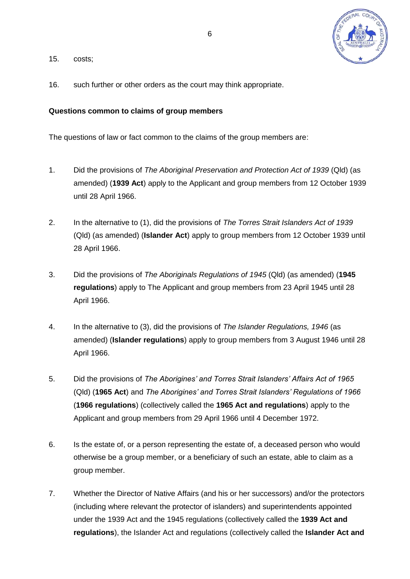

- 15. costs;
- 16. such further or other orders as the court may think appropriate.

### **Questions common to claims of group members**

The questions of law or fact common to the claims of the group members are:

- 1. Did the provisions of *The Aboriginal Preservation and Protection Act of 1939* (Qld) (as amended) (**1939 Act**) apply to the Applicant and group members from 12 October 1939 until 28 April 1966.
- 2. In the alternative to (1), did the provisions of *The Torres Strait Islanders Act of 1939* (Qld) (as amended) (**Islander Act**) apply to group members from 12 October 1939 until 28 April 1966.
- 3. Did the provisions of *The Aboriginals Regulations of 1945* (Qld) (as amended) (**1945 regulations**) apply to The Applicant and group members from 23 April 1945 until 28 April 1966.
- 4. In the alternative to (3), did the provisions of *The Islander Regulations, 1946* (as amended) (**Islander regulations**) apply to group members from 3 August 1946 until 28 April 1966.
- 5. Did the provisions of *The Aborigines' and Torres Strait Islanders' Affairs Act of 1965* (Qld) (**1965 Act**) and *The Aborigines' and Torres Strait Islanders' Regulations of 1966* (**1966 regulations**) (collectively called the **1965 Act and regulations**) apply to the Applicant and group members from 29 April 1966 until 4 December 1972.
- 6. Is the estate of, or a person representing the estate of, a deceased person who would otherwise be a group member, or a beneficiary of such an estate, able to claim as a group member.
- 7. Whether the Director of Native Affairs (and his or her successors) and/or the protectors (including where relevant the protector of islanders) and superintendents appointed under the 1939 Act and the 1945 regulations (collectively called the **1939 Act and regulations**), the Islander Act and regulations (collectively called the **Islander Act and**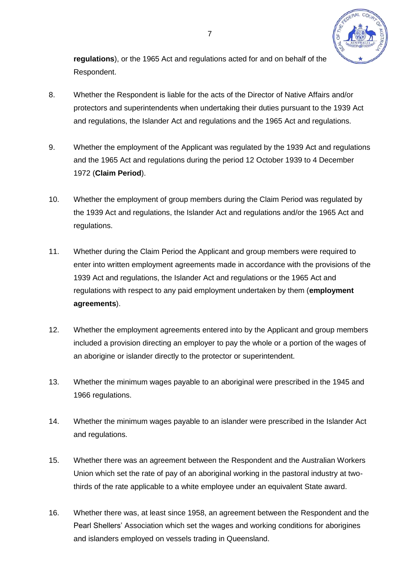

**regulations**), or the 1965 Act and regulations acted for and on behalf of the Respondent.

- 8. Whether the Respondent is liable for the acts of the Director of Native Affairs and/or protectors and superintendents when undertaking their duties pursuant to the 1939 Act and regulations, the Islander Act and regulations and the 1965 Act and regulations.
- 9. Whether the employment of the Applicant was regulated by the 1939 Act and regulations and the 1965 Act and regulations during the period 12 October 1939 to 4 December 1972 (**Claim Period**).
- 10. Whether the employment of group members during the Claim Period was regulated by the 1939 Act and regulations, the Islander Act and regulations and/or the 1965 Act and regulations.
- 11. Whether during the Claim Period the Applicant and group members were required to enter into written employment agreements made in accordance with the provisions of the 1939 Act and regulations, the Islander Act and regulations or the 1965 Act and regulations with respect to any paid employment undertaken by them (**employment agreements**).
- 12. Whether the employment agreements entered into by the Applicant and group members included a provision directing an employer to pay the whole or a portion of the wages of an aborigine or islander directly to the protector or superintendent.
- 13. Whether the minimum wages payable to an aboriginal were prescribed in the 1945 and 1966 regulations.
- 14. Whether the minimum wages payable to an islander were prescribed in the Islander Act and regulations.
- 15. Whether there was an agreement between the Respondent and the Australian Workers Union which set the rate of pay of an aboriginal working in the pastoral industry at twothirds of the rate applicable to a white employee under an equivalent State award.
- 16. Whether there was, at least since 1958, an agreement between the Respondent and the Pearl Shellers' Association which set the wages and working conditions for aborigines and islanders employed on vessels trading in Queensland.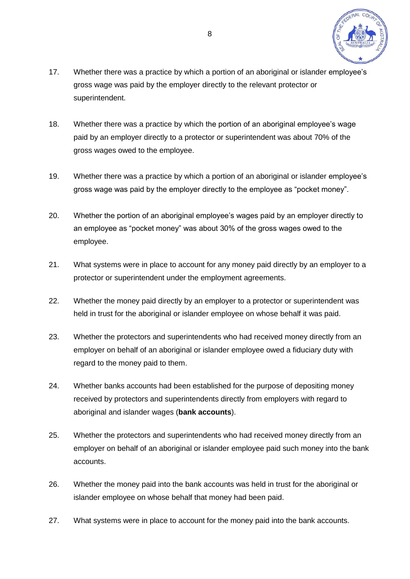

- 17. Whether there was a practice by which a portion of an aboriginal or islander employee's gross wage was paid by the employer directly to the relevant protector or superintendent.
- 18. Whether there was a practice by which the portion of an aboriginal employee's wage paid by an employer directly to a protector or superintendent was about 70% of the gross wages owed to the employee.
- 19. Whether there was a practice by which a portion of an aboriginal or islander employee's gross wage was paid by the employer directly to the employee as "pocket money".
- 20. Whether the portion of an aboriginal employee's wages paid by an employer directly to an employee as "pocket money" was about 30% of the gross wages owed to the employee.
- 21. What systems were in place to account for any money paid directly by an employer to a protector or superintendent under the employment agreements.
- 22. Whether the money paid directly by an employer to a protector or superintendent was held in trust for the aboriginal or islander employee on whose behalf it was paid.
- 23. Whether the protectors and superintendents who had received money directly from an employer on behalf of an aboriginal or islander employee owed a fiduciary duty with regard to the money paid to them.
- 24. Whether banks accounts had been established for the purpose of depositing money received by protectors and superintendents directly from employers with regard to aboriginal and islander wages (**bank accounts**).
- 25. Whether the protectors and superintendents who had received money directly from an employer on behalf of an aboriginal or islander employee paid such money into the bank accounts.
- 26. Whether the money paid into the bank accounts was held in trust for the aboriginal or islander employee on whose behalf that money had been paid.
- 27. What systems were in place to account for the money paid into the bank accounts.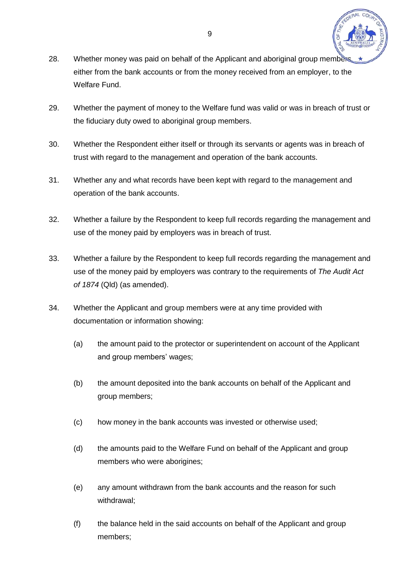

- 28. Whether money was paid on behalf of the Applicant and aboriginal group member either from the bank accounts or from the money received from an employer, to the Welfare Fund.
- 29. Whether the payment of money to the Welfare fund was valid or was in breach of trust or the fiduciary duty owed to aboriginal group members.
- 30. Whether the Respondent either itself or through its servants or agents was in breach of trust with regard to the management and operation of the bank accounts.
- 31. Whether any and what records have been kept with regard to the management and operation of the bank accounts.
- 32. Whether a failure by the Respondent to keep full records regarding the management and use of the money paid by employers was in breach of trust.
- 33. Whether a failure by the Respondent to keep full records regarding the management and use of the money paid by employers was contrary to the requirements of *The Audit Act of 1874* (Qld) (as amended).
- 34. Whether the Applicant and group members were at any time provided with documentation or information showing:
	- (a) the amount paid to the protector or superintendent on account of the Applicant and group members' wages;
	- (b) the amount deposited into the bank accounts on behalf of the Applicant and group members;
	- (c) how money in the bank accounts was invested or otherwise used;
	- (d) the amounts paid to the Welfare Fund on behalf of the Applicant and group members who were aborigines;
	- (e) any amount withdrawn from the bank accounts and the reason for such withdrawal;
	- (f) the balance held in the said accounts on behalf of the Applicant and group members;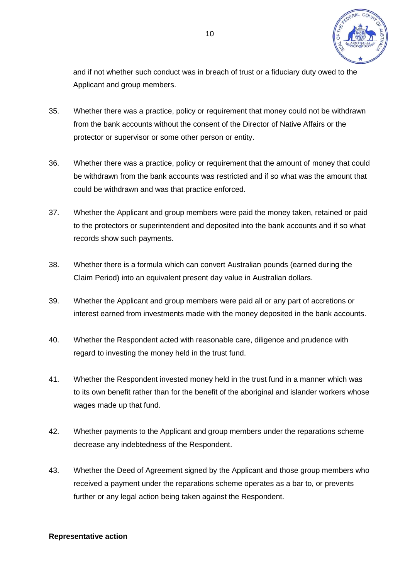

and if not whether such conduct was in breach of trust or a fiduciary duty owed to the Applicant and group members.

- 35. Whether there was a practice, policy or requirement that money could not be withdrawn from the bank accounts without the consent of the Director of Native Affairs or the protector or supervisor or some other person or entity.
- 36. Whether there was a practice, policy or requirement that the amount of money that could be withdrawn from the bank accounts was restricted and if so what was the amount that could be withdrawn and was that practice enforced.
- 37. Whether the Applicant and group members were paid the money taken, retained or paid to the protectors or superintendent and deposited into the bank accounts and if so what records show such payments.
- 38. Whether there is a formula which can convert Australian pounds (earned during the Claim Period) into an equivalent present day value in Australian dollars.
- 39. Whether the Applicant and group members were paid all or any part of accretions or interest earned from investments made with the money deposited in the bank accounts.
- 40. Whether the Respondent acted with reasonable care, diligence and prudence with regard to investing the money held in the trust fund.
- 41. Whether the Respondent invested money held in the trust fund in a manner which was to its own benefit rather than for the benefit of the aboriginal and islander workers whose wages made up that fund.
- 42. Whether payments to the Applicant and group members under the reparations scheme decrease any indebtedness of the Respondent.
- 43. Whether the Deed of Agreement signed by the Applicant and those group members who received a payment under the reparations scheme operates as a bar to, or prevents further or any legal action being taken against the Respondent.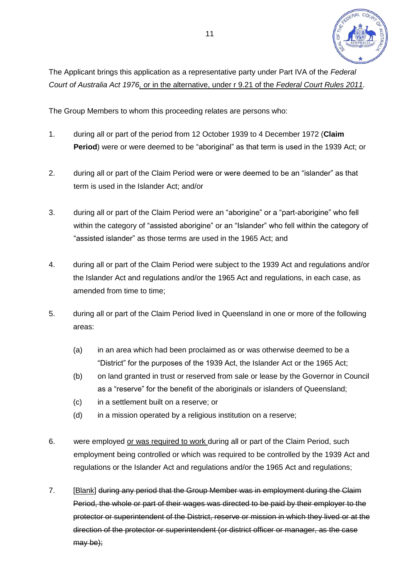

The Applicant brings this application as a representative party under Part IVA of the *Federal Court of Australia Act 1976,* or in the alternative, under r 9.21 of the *Federal Court Rules 2011.* 

The Group Members to whom this proceeding relates are persons who:

- 1. during all or part of the period from 12 October 1939 to 4 December 1972 (**Claim Period**) were or were deemed to be "aboriginal" as that term is used in the 1939 Act; or
- 2. during all or part of the Claim Period were or were deemed to be an "islander" as that term is used in the Islander Act; and/or
- 3. during all or part of the Claim Period were an "aborigine" or a "part-aborigine" who fell within the category of "assisted aborigine" or an "Islander" who fell within the category of "assisted islander" as those terms are used in the 1965 Act; and
- 4. during all or part of the Claim Period were subject to the 1939 Act and regulations and/or the Islander Act and regulations and/or the 1965 Act and regulations, in each case, as amended from time to time:
- 5. during all or part of the Claim Period lived in Queensland in one or more of the following areas:
	- (a) in an area which had been proclaimed as or was otherwise deemed to be a "District" for the purposes of the 1939 Act, the Islander Act or the 1965 Act;
	- (b) on land granted in trust or reserved from sale or lease by the Governor in Council as a "reserve" for the benefit of the aboriginals or islanders of Queensland;
	- (c) in a settlement built on a reserve; or
	- (d) in a mission operated by a religious institution on a reserve;
- 6. were employed or was required to work during all or part of the Claim Period, such employment being controlled or which was required to be controlled by the 1939 Act and regulations or the Islander Act and regulations and/or the 1965 Act and regulations;
- 7. [Blank] during any period that the Group Member was in employment during the Claim Period, the whole or part of their wages was directed to be paid by their employer to the protector or superintendent of the District, reserve or mission in which they lived or at the direction of the protector or superintendent (or district officer or manager, as the case may be);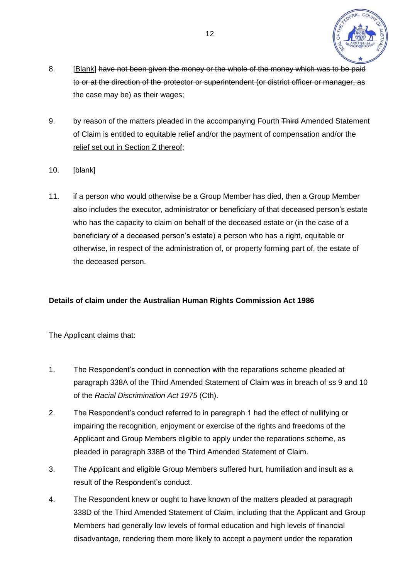

- 8. [Blank] have not been given the money or the whole of the money which was to be paid to or at the direction of the protector or superintendent (or district officer or manager, as the case may be) as their wages;
- 9. by reason of the matters pleaded in the accompanying Fourth Third Amended Statement of Claim is entitled to equitable relief and/or the payment of compensation and/or the relief set out in Section Z thereof;
- 10. [blank]
- 11. if a person who would otherwise be a Group Member has died, then a Group Member also includes the executor, administrator or beneficiary of that deceased person's estate who has the capacity to claim on behalf of the deceased estate or (in the case of a beneficiary of a deceased person's estate) a person who has a right, equitable or otherwise, in respect of the administration of, or property forming part of, the estate of the deceased person.

# **Details of claim under the Australian Human Rights Commission Act 1986**

The Applicant claims that:

- 1. The Respondent's conduct in connection with the reparations scheme pleaded at paragraph 338A of the Third Amended Statement of Claim was in breach of ss 9 and 10 of the *Racial Discrimination Act 1975* (Cth).
- 2. The Respondent's conduct referred to in paragraph 1 had the effect of nullifying or impairing the recognition, enjoyment or exercise of the rights and freedoms of the Applicant and Group Members eligible to apply under the reparations scheme, as pleaded in paragraph 338B of the Third Amended Statement of Claim.
- 3. The Applicant and eligible Group Members suffered hurt, humiliation and insult as a result of the Respondent's conduct.
- 4. The Respondent knew or ought to have known of the matters pleaded at paragraph 338D of the Third Amended Statement of Claim, including that the Applicant and Group Members had generally low levels of formal education and high levels of financial disadvantage, rendering them more likely to accept a payment under the reparation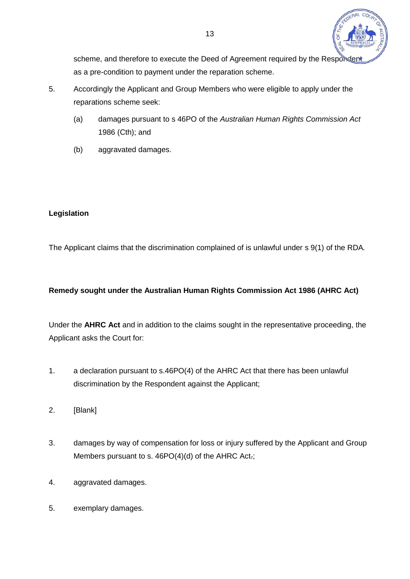

scheme, and therefore to execute the Deed of Agreement required by the Responder as a pre-condition to payment under the reparation scheme.

- 5. Accordingly the Applicant and Group Members who were eligible to apply under the reparations scheme seek:
	- (a) damages pursuant to s 46PO of the *Australian Human Rights Commission Act* 1986 (Cth); and
	- (b) aggravated damages.

# **Legislation**

The Applicant claims that the discrimination complained of is unlawful under s 9(1) of the RDA*.*

# **Remedy sought under the Australian Human Rights Commission Act 1986 (AHRC Act)**

Under the **AHRC Act** and in addition to the claims sought in the representative proceeding, the Applicant asks the Court for:

- 1. a declaration pursuant to s.46PO(4) of the AHRC Act that there has been unlawful discrimination by the Respondent against the Applicant;
- 2. [Blank]
- 3. damages by way of compensation for loss or injury suffered by the Applicant and Group Members pursuant to s. 46PO(4)(d) of the AHRC Act-;
- 4. aggravated damages.
- 5. exemplary damages.